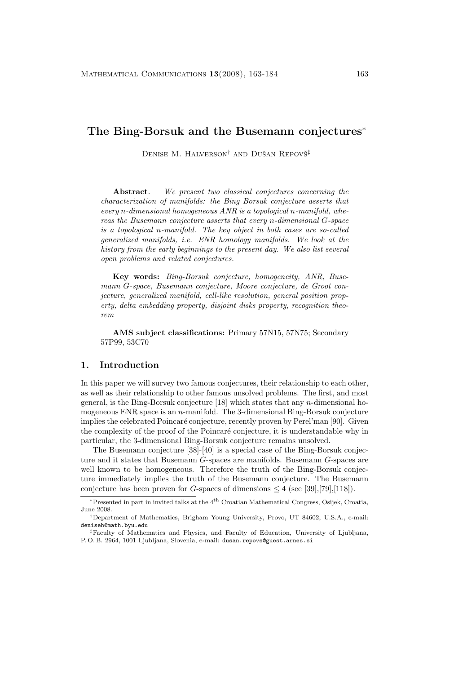# **The Bing-Borsuk and the Busemann conjectures**<sup>∗</sup>

DENISE M. HALVERSON<sup>†</sup> AND DUŠAN REPOVŠ<sup>‡</sup>

**Abstract***. We present two classical conjectures concerning the characterization of manifolds: the Bing Borsuk conjecture asserts that every* n*-dimensional homogeneous ANR is a topological* n*-manifold,whereas the Busemann conjecture asserts that every* n*-dimensional* G*-space is a topological* n*-manifold. The key object in both cases are so-called generalized manifolds,i.e. ENR homology manifolds. We look at the history from the early beginnings to the present day. We also list several open problems and related conjectures.*

**Key words:** *Bing-Borsuk conjecture, homogeneity, ANR, Busemann G-space, Busemann conjecture, Moore conjecture, de Groot conjecture, generalized manifold, cell-like resolution, general position prop*erty, delta embedding property, disjoint disks property, recognition theo*rem*

**AMS subject classifications:** Primary 57N15, 57N75; Secondary 57P99, 53C70

### **1. Introduction**

In this paper we will survey two famous conjectures, their relationship to each other, as well as their relationship to other famous unsolved problems. The first, and most general, is the Bing-Borsuk conjecture  $[18]$  which states that any *n*-dimensional homogeneous ENR space is an n-manifold. The 3-dimensional Bing-Borsuk conjecture implies the celebrated Poincaré conjecture, recently proven by Perel'man [90]. Given the complexity of the proof of the Poincaré conjecture, it is understandable why in particular, the 3-dimensional Bing-Borsuk conjecture remains unsolved.

The Busemann conjecture [38]-[40] is a special case of the Bing-Borsuk conjecture and it states that Busemann G-spaces are manifolds. Busemann G-spaces are well known to be homogeneous. Therefore the truth of the Bing-Borsuk conjecture immediately implies the truth of the Busemann conjecture. The Busemann conjecture has been proven for G-spaces of dimensions  $\leq 4$  (see [39],[79],[118]).

<sup>∗</sup>Presented in part in invited talks at the 4th Croatian Mathematical Congress, Osijek, Croatia, June 2008.

<sup>†</sup>Department of Mathematics, Brigham Young University, Provo, UT 84602, U.S.A., e-mail: deniseh@math.byu.edu

<sup>‡</sup>Faculty of Mathematics and Physics, and Faculty of Education, University of Ljubljana, P. O. B. 2964, 1001 Ljubljana, Slovenia, e-mail: dusan.repovs@guest.arnes.si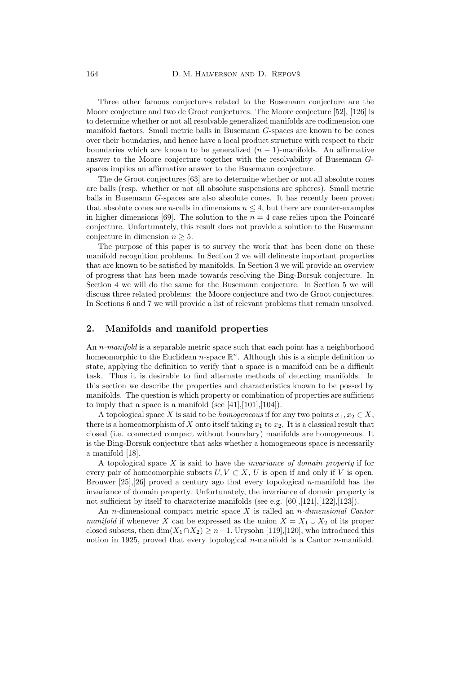Three other famous conjectures related to the Busemann conjecture are the Moore conjecture and two de Groot conjectures. The Moore conjecture [52], [126] is to determine whether or not all resolvable generalized manifolds are codimension one manifold factors. Small metric balls in Busemann G-spaces are known to be cones over their boundaries, and hence have a local product structure with respect to their boundaries which are known to be generalized  $(n - 1)$ -manifolds. An affirmative answer to the Moore conjecture together with the resolvability of Busemann Gspaces implies an affirmative answer to the Busemann conjecture.

The de Groot conjectures [63] are to determine whether or not all absolute cones are balls (resp. whether or not all absolute suspensions are spheres). Small metric balls in Busemann G-spaces are also absolute cones. It has recently been proven that absolute cones are *n*-cells in dimensions  $n \leq 4$ , but there are counter-examples in higher dimensions [69]. The solution to the  $n = 4$  case relies upon the Poincaré conjecture. Unfortunately, this result does not provide a solution to the Busemann conjecture in dimension  $n \geq 5$ .

The purpose of this paper is to survey the work that has been done on these manifold recognition problems. In Section 2 we will delineate important properties that are known to be satisfied by manifolds. In Section 3 we will provide an overview of progress that has been made towards resolving the Bing-Borsuk conjecture. In Section 4 we will do the same for the Busemann conjecture. In Section 5 we will discuss three related problems: the Moore conjecture and two de Groot conjectures. In Sections 6 and 7 we will provide a list of relevant problems that remain unsolved.

## **2. Manifolds and manifold properties**

An n*-manifold* is a separable metric space such that each point has a neighborhood homeomorphic to the Euclidean n-space  $\mathbb{R}^n$ . Although this is a simple definition to state, applying the definition to verify that a space is a manifold can be a difficult task. Thus it is desirable to find alternate methods of detecting manifolds. In this section we describe the properties and characteristics known to be possed by manifolds. The question is which property or combination of properties are sufficient to imply that a space is a manifold (see  $[41],[101],[104]$ ).

A topological space X is said to be *homogeneous* if for any two points  $x_1, x_2 \in X$ , there is a homeomorphism of X onto itself taking  $x_1$  to  $x_2$ . It is a classical result that closed (i.e. connected compact without boundary) manifolds are homogeneous. It is the Bing-Borsuk conjecture that asks whether a homogeneous space is necessarily a manifold [18].

A topological space X is said to have the *invariance of domain property* if for every pair of homeomorphic subsets  $U, V \subset X, U$  is open if and only if V is open. Brouwer  $[25],[26]$  proved a century ago that every topological *n*-manifold has the invariance of domain property. Unfortunately, the invariance of domain property is not sufficient by itself to characterize manifolds (see e.g. [60],[121],[122],[123]).

An n-dimensional compact metric space X is called an n*-dimensional Cantor manifold* if whenever X can be expressed as the union  $X = X_1 \cup X_2$  of its proper closed subsets, then  $\dim(X_1 \cap X_2) \geq n-1$ . Urysohn [119],[120], who introduced this notion in 1925, proved that every topological  $n$ -manifold is a Cantor  $n$ -manifold.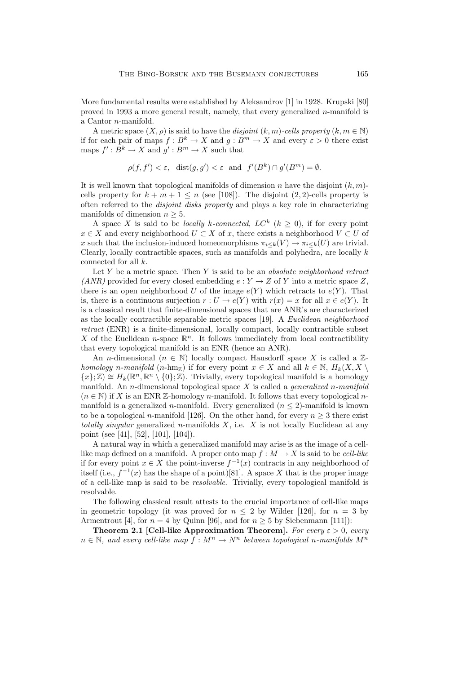More fundamental results were established by Aleksandrov [1] in 1928. Krupski [80] proved in 1993 a more general result, namely, that every generalized n-manifold is a Cantor n-manifold.

A metric space  $(X, \rho)$  is said to have the *disjoint*  $(k, m)$ *-cells property*  $(k, m \in \mathbb{N})$ if for each pair of maps  $f : B^k \to X$  and  $g : B^m \to X$  and every  $\varepsilon > 0$  there exist maps  $f' : B^k \to X$  and  $g' : B^m \to X$  such that

$$
\rho(f, f') < \varepsilon, \text{ dist}(g, g') < \varepsilon \text{ and } f'(B^k) \cap g'(B^m) = \emptyset.
$$

It is well known that topological manifolds of dimension n have the disjoint  $(k, m)$ cells property for  $k + m + 1 \leq n$  (see [108]). The disjoint  $(2, 2)$ -cells property is often referred to the *disjoint disks property* and plays a key role in characterizing manifolds of dimension  $n \geq 5$ .

A space X is said to be *locally* k-connected,  $LC^k$  ( $k \geq 0$ ), if for every point  $x \in X$  and every neighborhood  $U \subset X$  of x, there exists a neighborhood  $V \subset U$  of x such that the inclusion-induced homeomorphisms  $\pi_{i\leq k}(V) \to \pi_{i\leq k}(U)$  are trivial. Clearly, locally contractible spaces, such as manifolds and polyhedra, are locally  $k$ connected for all k.

Let Y be a metric space. Then Y is said to be an *absolute neighborhood retract (ANR)* provided for every closed embedding  $e: Y \to Z$  of Y into a metric space Z, there is an open neighborhood U of the image  $e(Y)$  which retracts to  $e(Y)$ . That is, there is a continuous surjection  $r: U \to e(Y)$  with  $r(x) = x$  for all  $x \in e(Y)$ . It is a classical result that finite-dimensional spaces that are ANR's are characterized as the locally contractible separable metric spaces [19]. A *Euclidean neighborhood retract* (ENR) is a finite-dimensional, locally compact, locally contractible subset X of the Euclidean n-space  $\mathbb{R}^n$ . It follows immediately from local contractibility that every topological manifold is an ENR (hence an ANR).

An *n*-dimensional  $(n \in \mathbb{N})$  locally compact Hausdorff space X is called a  $\mathbb{Z}$ *homology* n-manifold (n-hm<sub>Z</sub>) if for every point  $x \in X$  and all  $k \in \mathbb{N}$ ,  $H_k(X, X \setminus$  ${x; \mathbb{Z} \geq H_k(\mathbb{R}^n, \mathbb{R}^n \setminus \{0\}; \mathbb{Z})$ . Trivially, every topological manifold is a homology manifold. An n-dimensional topological space X is called a *generalized* n*-manifold*  $(n \in \mathbb{N})$  if X is an ENR Z-homology n-manifold. It follows that every topological nmanifold is a generalized n-manifold. Every generalized  $(n \leq 2)$ -manifold is known to be a topological n-manifold [126]. On the other hand, for every  $n \geq 3$  there exist *totally singular* generalized n-manifolds X, i.e. X is not locally Euclidean at any point (see [41], [52], [101], [104]).

A natural way in which a generalized manifold may arise is as the image of a celllike map defined on a manifold. A proper onto map  $f : M \to X$  is said to be *cell-like* if for every point  $x \in X$  the point-inverse  $f^{-1}(x)$  contracts in any neighborhood of itself (i.e.,  $f^{-1}(x)$  has the shape of a point)[81]. A space X that is the proper image of a cell-like map is said to be *resolvable*. Trivially, every topological manifold is resolvable.

The following classical result attests to the crucial importance of cell-like maps in geometric topology (it was proved for  $n \leq 2$  by Wilder [126], for  $n = 3$  by Armentrout [4], for  $n = 4$  by Quinn [96], and for  $n \geq 5$  by Siebenmann [111]):

**Theorem 2.1 [Cell-like Approximation Theorem].** For every  $\varepsilon > 0$ , every  $n \in \mathbb{N}$ , and every cell-like map  $f : M^n \to N^n$  between topological n-manifolds  $M^n$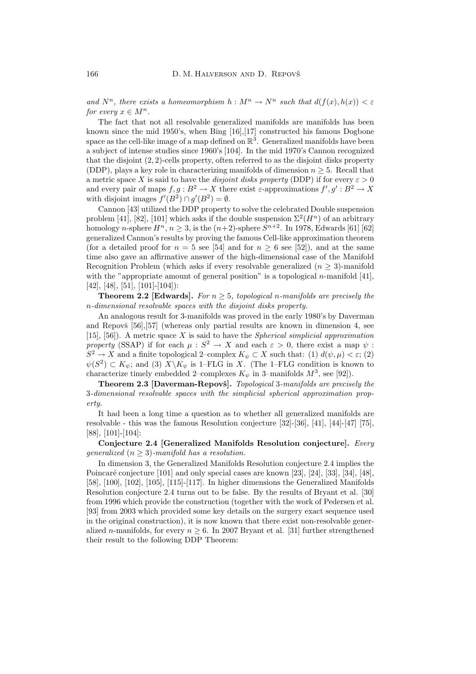and  $N^n$ , there exists a homeomorphism  $h : M^n \to N^n$  such that  $d(f(x), h(x)) \leq \varepsilon$ *for every*  $x \in M^n$ .

The fact that not all resolvable generalized manifolds are manifolds has been known since the mid 1950's, when Bing [16],[17] constructed his famous Dogbone space as the cell-like image of a map defined on  $\mathbb{R}^3$ . Generalized manifolds have been a subject of intense studies since 1960's [104]. In the mid 1970's Cannon recognized that the disjoint  $(2, 2)$ -cells property, often referred to as the disjoint disks property (DDP), plays a key role in characterizing manifolds of dimension  $n \geq 5$ . Recall that a metric space X is said to have the *disjoint disks property* (DDP) if for every  $\varepsilon > 0$ and every pair of maps  $f, g : B^2 \to X$  there exist  $\varepsilon$ -approximations  $f', g' : B^2 \to X$ with disjoint images  $f'(B^2) \cap g'(B^2) = \emptyset$ .

Cannon [43] utilized the DDP property to solve the celebrated Double suspension problem [41], [82], [101] which asks if the double suspension  $\Sigma^2(H^n)$  of an arbitrary homology n-sphere  $H^n$ ,  $n \geq 3$ , is the  $(n+2)$ -sphere  $S^{n+2}$ . In 1978, Edwards [61] [62] generalized Cannon's results by proving the famous Cell-like approximation theorem (for a detailed proof for  $n = 5$  see [54] and for  $n \ge 6$  see [52]), and at the same time also gave an affirmative answer of the high-dimensional case of the Manifold Recognition Problem (which asks if every resolvable generalized  $(n \geq 3)$ -manifold with the "appropriate amount of general position" is a topological n-manifold  $[41]$ , [42], [48], [51], [101]-[104]):

**Theorem 2.2 [Edwards].** For  $n \geq 5$ , topological n-manifolds are precisely the n*-dimensional resolvable spaces with the disjoint disks property.*

An analogous result for 3-manifolds was proved in the early 1980's by Daverman and Repovš  $[56],[57]$  (whereas only partial results are known in dimension 4, see [15], [56]). A metric space X is said to have the *Spherical simplicial approximation property* (SSAP) if for each  $\mu : S^2 \to X$  and each  $\varepsilon > 0$ , there exist a map  $\psi$ :  $S^2 \to X$  and a finite topological 2–complex  $K_{\psi} \subset X$  such that: (1)  $d(\psi, \mu) < \varepsilon$ ; (2)  $\psi(S^2) \subset K_{\psi}$ ; and (3)  $X \backslash K_{\psi}$  is 1–FLG in X. (The 1–FLG condition is known to characterize timely embedded 2–complexes  $K_{\psi}$  in 3–manifolds  $M^3$ , see [92]).

**Theorem 2.3 [Daverman-Repovš].** *Topological* 3-manifolds are precisely the 3*-dimensional resolvable spaces with the simplicial spherical approximation property.*

It had been a long time a question as to whether all generalized manifolds are resolvable - this was the famous Resolution conjecture [32]-[36], [41], [44]-[47] [75], [88], [101]-[104]:

**Conjecture 2.4 [Generalized Manifolds Resolution conjecture].** *Every generalized*  $(n \geq 3)$ -manifold has a resolution.

In dimension 3, the Generalized Manifolds Resolution conjecture 2.4 implies the Poincaré conjecture  $[101]$  and only special cases are known  $[23]$ ,  $[24]$ ,  $[33]$ ,  $[34]$ ,  $[48]$ , [58], [100], [102], [105], [115]-[117]. In higher dimensions the Generalized Manifolds Resolution conjecture 2.4 turns out to be false. By the results of Bryant et al. [30] from 1996 which provide the construction (together with the work of Pedersen et al. [93] from 2003 which provided some key details on the surgery exact sequence used in the original construction), it is now known that there exist non-resolvable generalized n-manifolds, for every  $n \geq 6$ . In 2007 Bryant et al. [31] further strengthened their result to the following DDP Theorem: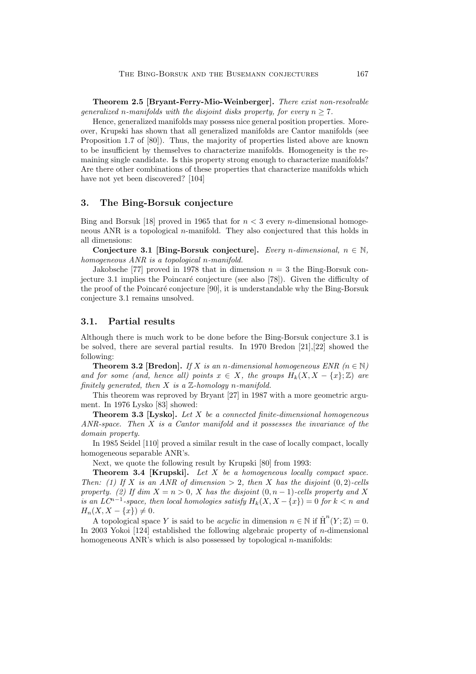**Theorem 2.5 [Bryant-Ferry-Mio-Weinberger].** *There exist non-resolvable generalized n*-manifolds with the disjoint disks property, for every  $n \geq 7$ .

Hence, generalized manifolds may possess nice general position properties. Moreover, Krupski has shown that all generalized manifolds are Cantor manifolds (see Proposition 1.7 of [80]). Thus, the majority of properties listed above are known to be insufficient by themselves to characterize manifolds. Homogeneity is the remaining single candidate. Is this property strong enough to characterize manifolds? Are there other combinations of these properties that characterize manifolds which have not yet been discovered? [104]

### **3. The Bing-Borsuk conjecture**

Bing and Borsuk [18] proved in 1965 that for  $n < 3$  every n-dimensional homogeneous ANR is a topological *n*-manifold. They also conjectured that this holds in all dimensions:

**Conjecture 3.1 [Bing-Borsuk conjecture].** *Every n*-dimensional,  $n \in \mathbb{N}$ , *homogeneous ANR is a topological* n*-manifold.*

Jakobsche [77] proved in 1978 that in dimension  $n = 3$  the Bing-Borsuk conjecture 3.1 implies the Poincaré conjecture (see also [78]). Given the difficulty of the proof of the Poincaré conjecture [90], it is understandable why the Bing-Borsuk conjecture 3.1 remains unsolved.

### **3.1. Partial results**

Although there is much work to be done before the Bing-Borsuk conjecture 3.1 is be solved, there are several partial results. In 1970 Bredon [21],[22] showed the following:

**Theorem 3.2 [Bredon].** *If* X *is an n-dimensional homogeneous ENR*  $(n \in \mathbb{N})$ *and for some (and, hence all) points*  $x \in X$ *, the groups*  $H_k(X, X - \{x\}; \mathbb{Z})$  *are finitely generated, then*  $X$  *is a*  $\mathbb{Z}$ *-homology n*-manifold.

This theorem was reproved by Bryant [27] in 1987 with a more geometric argument. In 1976 Lysko [83] showed:

**Theorem 3.3 [Lysko].** *Let* X *be a connected finite-dimensional homogeneous ANR-space. Then* X *is a Cantor manifold and it possesses the invariance of the domain property.*

In 1985 Seidel [110] proved a similar result in the case of locally compact, locally homogeneous separable ANR's.

Next, we quote the following result by Krupski [80] from 1993:

**Theorem 3.4 [Krupski].** *Let* X *be a homogeneous locally compact space. Then:* (1) If X is an ANR of dimension  $> 2$ , then X has the disjoint  $(0, 2)$ -cells *property.* (2) If dim  $X = n > 0$ , X has the disjoint  $(0, n - 1)$ *-cells property and* X *is an LC*<sup>n−1</sup>-space, then local homologies satisfy  $H_k(X, X - \{x\}) = 0$  for  $k < n$  and  $H_n(X, X - \{x\}) \neq 0.$ 

A topological space Y is said to be *acyclic* in dimension  $n \in \mathbb{N}$  if  $\check{H}^{n}(Y; \mathbb{Z}) = 0$ . In 2003 Yokoi [124] established the following algebraic property of n-dimensional homogeneous ANR's which is also possessed by topological  $n$ -manifolds: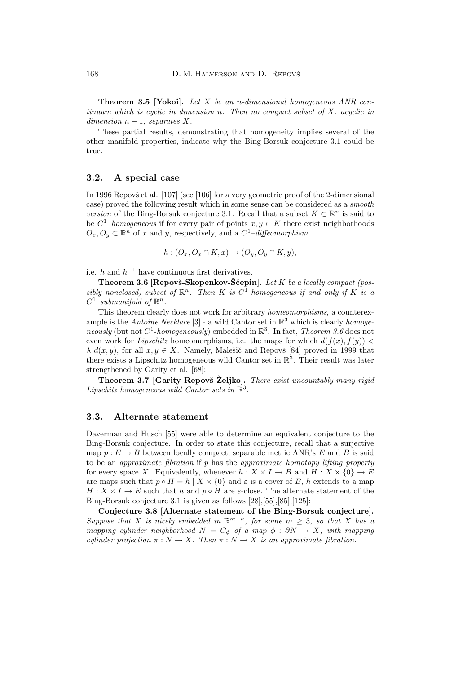**Theorem 3.5 [Yokoi].** *Let* X *be an* n*-dimensional homogeneous ANR continuum which is cyclic in dimension n. Then no compact subset of* X, acyclic in  $dimension\ n-1$ *, separates X*.

These partial results, demonstrating that homogeneity implies several of the other manifold properties, indicate why the Bing-Borsuk conjecture 3.1 could be true.

### **3.2. A special case**

In 1996 Repovš et al.  $[107]$  (see  $[106]$  for a very geometric proof of the 2-dimensional case) proved the following result which in some sense can be considered as a *smooth version* of the Bing-Borsuk conjecture 3.1. Recall that a subset  $K \subset \mathbb{R}^n$  is said to be  $C^1$ –*homogeneous* if for every pair of points  $x, y \in K$  there exist neighborhoods  $O_x, O_y \subset \mathbb{R}^n$  of x and y, respectively, and a  $C^1$ –diffeomorphism

$$
h:(O_x,O_x\cap K,x)\to (O_y,O_y\cap K,y),
$$

i.e. h and  $h^{-1}$  have continuous first derivatives.

**Theorem 3.6 [Repovš-Skopenkov-Ščepin].** Let K be a locally compact (pos*sibly nonclosed) subset of*  $\mathbb{R}^n$ . Then K *is*  $C^1$ -homogeneous *if and only if* K *is a*  $C^1$ *–submanifold of*  $\mathbb{R}^n$ .

This theorem clearly does not work for arbitrary *homeomorphisms*, a counterexample is the *Antoine Necklace* [3] - a wild Cantor set in R<sup>3</sup> which is clearly *homogeneously* (but not  $C^1$ -*homogeneously*) embedded in  $\mathbb{R}^3$ . In fact, *Theorem 3.6* does not even work for *Lipschitz* homeomorphisms, i.e. the maps for which  $d(f(x), f(y))$  <  $\lambda$  d(x, y), for all  $x, y \in X$ . Namely, Malešič and Repovš [84] proved in 1999 that there exists a Lipschitz homogeneous wild Cantor set in  $\mathbb{R}^3$ . Their result was later strengthened by Garity et al. [68]:

**Theorem 3.7 [Garity-Repovš-Željko].** There exist uncountably many rigid *Lipschitz homogeneous wild Cantor sets in* R<sup>3</sup>*.*

## **3.3. Alternate statement**

Daverman and Husch [55] were able to determine an equivalent conjecture to the Bing-Borsuk conjecture. In order to state this conjecture, recall that a surjective map  $p : E \to B$  between locally compact, separable metric ANR's E and B is said to be an *approximate fibration* if p has the *approximate homotopy lifting property* for every space X. Equivalently, whenever  $h : X \times I \to B$  and  $H : X \times \{0\} \to E$ are maps such that  $p \circ H = h \mid X \times \{0\}$  and  $\varepsilon$  is a cover of B, h extends to a map  $H: X \times I \to E$  such that h and  $p \circ H$  are  $\varepsilon$ -close. The alternate statement of the Bing-Borsuk conjecture 3.1 is given as follows [28],[55],[85],[125]:

**Conjecture 3.8 [Alternate statement of the Bing-Borsuk conjecture].** *Suppose that* X *is nicely embedded in*  $\mathbb{R}^{m+n}$ *, for some*  $m \geq 3$ *, so that* X *has a mapping cylinder neighborhood*  $N = C_{\phi}$  *of a map*  $\phi : \partial N \to X$ *, with mapping cylinder projection*  $\pi : N \to X$ *. Then*  $\pi : N \to X$  *is an approximate fibration.*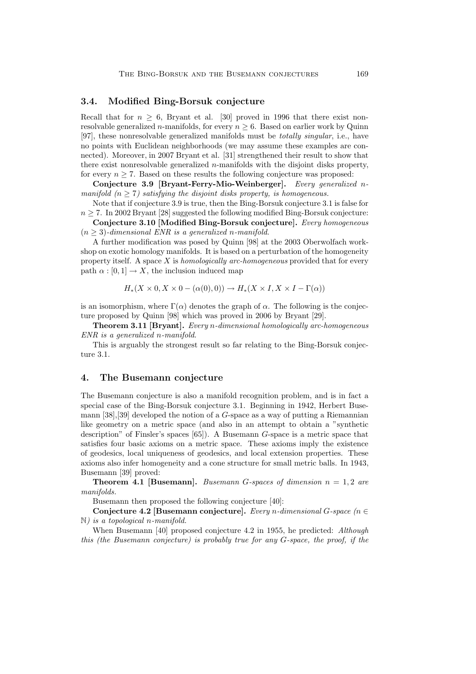## **3.4. Modified Bing-Borsuk conjecture**

Recall that for  $n > 6$ , Bryant et al. [30] proved in 1996 that there exist nonresolvable generalized *n*-manifolds, for every  $n \geq 6$ . Based on earlier work by Quinn [97], these nonresolvable generalized manifolds must be *totally singular*, i.e., have no points with Euclidean neighborhoods (we may assume these examples are connected). Moreover, in 2007 Bryant et al. [31] strengthened their result to show that there exist nonresolvable generalized  $n$ -manifolds with the disjoint disks property, for every  $n \geq 7$ . Based on these results the following conjecture was proposed:

**Conjecture 3.9 [Bryant-Ferry-Mio-Weinberger].** *Every generalized* n*manifold*  $(n \geq 7)$  *satisfying the disjoint disks property, is homogeneous.* 

Note that if conjecture 3.9 is true, then the Bing-Borsuk conjecture 3.1 is false for  $n \geq 7$ . In 2002 Bryant [28] suggested the following modified Bing-Borsuk conjecture:

**Conjecture 3.10 [Modified Bing-Borsuk conjecture].** *Every homogeneous*  $(n > 3)$ -dimensional ENR is a generalized n-manifold.

A further modification was posed by Quinn [98] at the 2003 Oberwolfach workshop on exotic homology manifolds. It is based on a perturbation of the homogeneity property itself. A space X is *homologically arc-homogeneous* provided that for every path  $\alpha : [0, 1] \to X$ , the inclusion induced map

$$
H_*(X \times 0, X \times 0 - (\alpha(0), 0)) \to H_*(X \times I, X \times I - \Gamma(\alpha))
$$

is an isomorphism, where  $\Gamma(\alpha)$  denotes the graph of  $\alpha$ . The following is the conjecture proposed by Quinn [98] which was proved in 2006 by Bryant [29].

**Theorem 3.11 [Bryant].** *Every* n*-dimensional homologically arc-homogeneous ENR is a generalized* n*-manifold.*

This is arguably the strongest result so far relating to the Bing-Borsuk conjecture 3.1.

### **4. The Busemann conjecture**

The Busemann conjecture is also a manifold recognition problem, and is in fact a special case of the Bing-Borsuk conjecture 3.1. Beginning in 1942, Herbert Busemann  $[38]$ ,  $[39]$  developed the notion of a G-space as a way of putting a Riemannian like geometry on a metric space (and also in an attempt to obtain a "synthetic description" of Finsler's spaces [65]). A Busemann G-space is a metric space that satisfies four basic axioms on a metric space. These axioms imply the existence of geodesics, local uniqueness of geodesics, and local extension properties. These axioms also infer homogeneity and a cone structure for small metric balls. In 1943, Busemann [39] proved:

**Theorem 4.1 [Busemann].** *Busemann G*-spaces of dimension  $n = 1, 2$  are *manifolds.*

Busemann then proposed the following conjecture [40]:

**Conjecture 4.2 [Busemann conjecture].** *Every* n*-dimensional* G*-space (*n ∈ N*) is a topological* n*-manifold.*

When Busemann [40] proposed conjecture 4.2 in 1955, he predicted: *Although this (the Busemann conjecture) is probably true for any* G-space, the proof, if the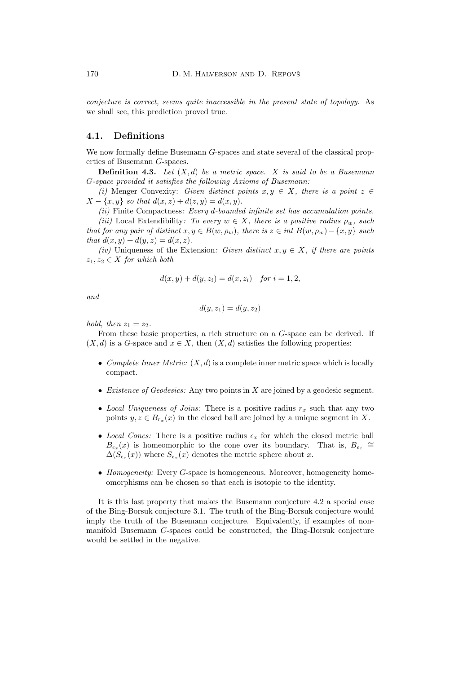*conjecture is correct, seems quite inaccessible in the present state of topology.* As we shall see, this prediction proved true.

## **4.1. Definitions**

We now formally define Busemann G-spaces and state several of the classical properties of Busemann G-spaces.

**Definition 4.3.** *Let* (X, d) *be a metric space.* X *is said to be a Busemann* G*-space provided it satisfies the following Axioms of Busemann:*

*(i)* Menger Convexity: *Given distinct points*  $x, y \in X$ *, there is a point*  $z \in$  $X - \{x, y\}$  so that  $d(x, z) + d(z, y) = d(x, y)$ .

*(ii)* Finite Compactness*: Every* d*-bounded infinite set has accumulation points.*

*(iii)* Local Extendibility: To every  $w \in X$ , there is a positive radius  $\rho_w$ , such *that for any pair of distinct*  $x, y \in B(w, \rho_w)$ *, there is*  $z \in int B(w, \rho_w) - \{x, y\}$  *such that*  $d(x, y) + d(y, z) = d(x, z)$ .

*(iv)* Uniqueness of the Extension: *Given distinct*  $x, y \in X$ *, if there are points*  $z_1, z_2 \in X$  *for which both* 

$$
d(x, y) + d(y, z_i) = d(x, z_i)
$$
 for  $i = 1, 2$ ,

*and*

$$
d(y, z_1) = d(y, z_2)
$$

*hold, then*  $z_1 = z_2$ *.* 

From these basic properties, a rich structure on a G-space can be derived. If  $(X, d)$  is a G-space and  $x \in X$ , then  $(X, d)$  satisfies the following properties:

- *Complete Inner Metric:*  $(X, d)$  is a complete inner metric space which is locally compact.
- *Existence of Geodesics:* Any two points in X are joined by a geodesic segment.
- *Local Uniqueness of Joins:* There is a positive radius  $r_x$  such that any two points  $y, z \in B_{r_x}(x)$  in the closed ball are joined by a unique segment in X.
- *Local Cones:* There is a positive radius  $\epsilon_x$  for which the closed metric ball  $B_{\epsilon_x}(x)$  is homeomorphic to the cone over its boundary. That is,  $B_{\epsilon_x} \cong$  $\Delta(S_{\epsilon_x}(x))$  where  $S_{\epsilon_x}(x)$  denotes the metric sphere about x.
- *Homogeneity:* Every *G*-space is homogeneous. Moreover, homogeneity homeomorphisms can be chosen so that each is isotopic to the identity.

It is this last property that makes the Busemann conjecture 4.2 a special case of the Bing-Borsuk conjecture 3.1. The truth of the Bing-Borsuk conjecture would imply the truth of the Busemann conjecture. Equivalently, if examples of nonmanifold Busemann G-spaces could be constructed, the Bing-Borsuk conjecture would be settled in the negative.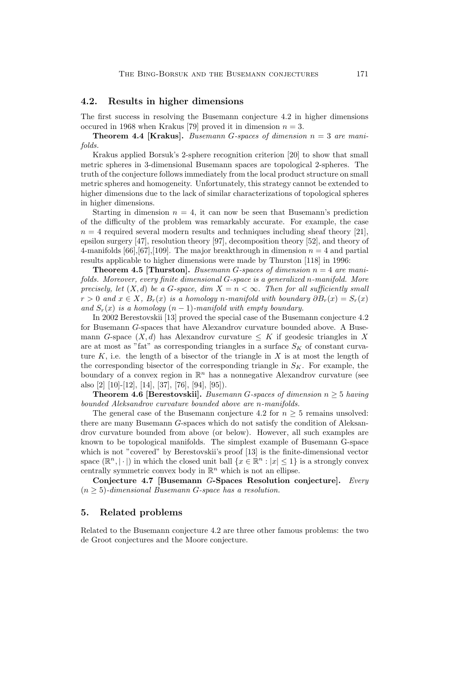## **4.2. Results in higher dimensions**

The first success in resolving the Busemann conjecture 4.2 in higher dimensions occured in 1968 when Krakus [79] proved it in dimension  $n = 3$ .

**Theorem 4.4 [Krakus].** *Busemann* G*-spaces of dimension* n = 3 *are manifolds.*

Krakus applied Borsuk's 2-sphere recognition criterion [20] to show that small metric spheres in 3-dimensional Busemann spaces are topological 2-spheres. The truth of the conjecture follows immediately from the local product structure on small metric spheres and homogeneity. Unfortunately, this strategy cannot be extended to higher dimensions due to the lack of similar characterizations of topological spheres in higher dimensions.

Starting in dimension  $n = 4$ , it can now be seen that Busemann's prediction of the difficulty of the problem was remarkably accurate. For example, the case  $n = 4$  required several modern results and techniques including sheaf theory [21], epsilon surgery [47], resolution theory [97], decomposition theory [52], and theory of 4-manifolds [66], [67], [109]. The major breakthrough in dimension  $n = 4$  and partial results applicable to higher dimensions were made by Thurston [118] in 1996:

**Theorem 4.5 [Thurston].** *Busemann G-spaces of dimension*  $n = 4$  *are manifolds. Moreover, every finite dimensional G-space is a generalized n-manifold. More precisely, let*  $(X, d)$  *be a G-space, dim*  $X = n < \infty$ *. Then for all sufficiently small*  $r > 0$  *and*  $x \in X$ ,  $B_r(x)$  *is a homology* n-manifold with boundary  $\partial B_r(x) = S_r(x)$ *and*  $S_r(x)$  *is a homology*  $(n-1)$ *-manifold with empty boundary.* 

In 2002 Berestovskii [13] proved the special case of the Busemann conjecture 4.2 for Busemann G-spaces that have Alexandrov curvature bounded above. A Busemann G-space  $(X, d)$  has Alexandrov curvature  $\leq K$  if geodesic triangles in X are at most as "fat" as corresponding triangles in a surface  $S_K$  of constant curvature  $K$ , i.e. the length of a bisector of the triangle in  $X$  is at most the length of the corresponding bisector of the corresponding triangle in  $S_K$ . For example, the boundary of a convex region in  $\mathbb{R}^n$  has a nonnegative Alexandrov curvature (see also [2] [10]-[12], [14], [37], [76], [94], [95]).

**Theorem 4.6 [Berestovskii].** *Busemann* G*-spaces of dimension* n ≥ 5 *having bounded Aleksandrov curvature bounded above are* n*-manifolds.*

The general case of the Busemann conjecture 4.2 for  $n \geq 5$  remains unsolved: there are many Busemann G-spaces which do not satisfy the condition of Aleksandrov curvature bounded from above (or below). However, all such examples are known to be topological manifolds. The simplest example of Busemann G-space which is not "covered" by Berestovskii's proof [13] is the finite-dimensional vector space  $(\mathbb{R}^n, |\cdot|)$  in which the closed unit ball  $\{x \in \mathbb{R}^n : |x| \leq 1\}$  is a strongly convex centrally symmetric convex body in  $\mathbb{R}^n$  which is not an ellipse.

**Conjecture 4.7 [Busemann** G**-Spaces Resolution conjecture].** *Every*  $(n \geq 5)$ -dimensional Busemann *G*-space has a resolution.

### **5. Related problems**

Related to the Busemann conjecture 4.2 are three other famous problems: the two de Groot conjectures and the Moore conjecture.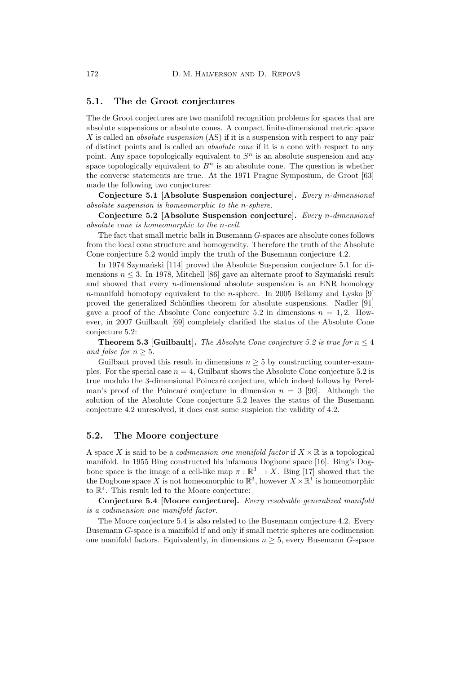## **5.1. The de Groot conjectures**

The de Groot conjectures are two manifold recognition problems for spaces that are absolute suspensions or absolute cones. A compact finite-dimensional metric space X is called an *absolute suspension* (AS) if it is a suspension with respect to any pair of distinct points and is called an *absolute cone* if it is a cone with respect to any point. Any space topologically equivalent to  $S<sup>n</sup>$  is an absolute suspension and any space topologically equivalent to  $B<sup>n</sup>$  is an absolute cone. The question is whether the converse statements are true. At the 1971 Prague Symposium, de Groot [63] made the following two conjectures:

**Conjecture 5.1 [Absolute Suspension conjecture].** *Every* n*-dimensional absolute suspension is homeomorphic to the* n*-sphere.*

**Conjecture 5.2 [Absolute Suspension conjecture].** *Every* n*-dimensional absolute cone is homeomorphic to the* n*-cell.*

The fact that small metric balls in Busemann G-spaces are absolute cones follows from the local cone structure and homogeneity. Therefore the truth of the Absolute Cone conjecture 5.2 would imply the truth of the Busemann conjecture 4.2.

In 1974 Szymański [114] proved the Absolute Suspension conjecture 5.1 for dimensions  $n \leq 3$ . In 1978, Mitchell [86] gave an alternate proof to Szymański result and showed that every  $n$ -dimensional absolute suspension is an ENR homology  $n$ -manifold homotopy equivalent to the n-sphere. In 2005 Bellamy and Lysko [9] proved the generalized Schönflies theorem for absolute suspensions. Nadler [91] gave a proof of the Absolute Cone conjecture 5.2 in dimensions  $n = 1, 2$ . However, in 2007 Guilbault [69] completely clarified the status of the Absolute Cone conjecture 5.2:

**Theorem 5.3 [Guilbault].** *The Absolute Cone conjecture 5.2 is true for*  $n \leq 4$ *and false for*  $n \geq 5$ *.* 

Guilbaut proved this result in dimensions  $n \geq 5$  by constructing counter-examples. For the special case  $n = 4$ , Guilbaut shows the Absolute Cone conjecture 5.2 is true modulo the 3-dimensional Poincaré conjecture, which indeed follows by Perelman's proof of the Poincaré conjecture in dimension  $n = 3$  [90]. Although the solution of the Absolute Cone conjecture 5.2 leaves the status of the Busemann conjecture 4.2 unresolved, it does cast some suspicion the validity of 4.2.

## **5.2. The Moore conjecture**

A space X is said to be a *codimension one manifold factor* if  $X \times \mathbb{R}$  is a topological manifold. In 1955 Bing constructed his infamous Dogbone space [16]. Bing's Dogbone space is the image of a cell-like map  $\pi : \mathbb{R}^3 \to X$ . Bing [17] showed that the the Dogbone space X is not homeomorphic to  $\mathbb{R}^3$ , however  $X \times \mathbb{R}^1$  is homeomorphic to  $\mathbb{R}^4$ . This result led to the Moore conjecture:

**Conjecture 5.4 [Moore conjecture].** *Every resolvable generalized manifold is a codimension one manifold factor.*

The Moore conjecture 5.4 is also related to the Busemann conjecture 4.2. Every Busemann G-space is a manifold if and only if small metric spheres are codimension one manifold factors. Equivalently, in dimensions  $n \geq 5$ , every Busemann G-space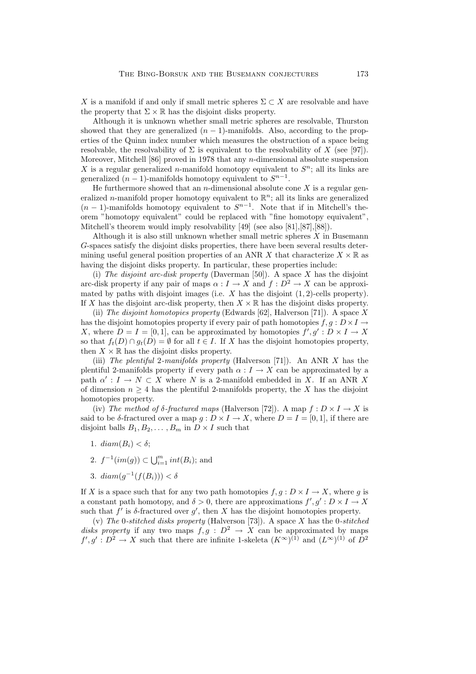X is a manifold if and only if small metric spheres  $\Sigma \subset X$  are resolvable and have the property that  $\Sigma \times \mathbb{R}$  has the disjoint disks property.

Although it is unknown whether small metric spheres are resolvable, Thurston showed that they are generalized  $(n - 1)$ -manifolds. Also, according to the properties of the Quinn index number which measures the obstruction of a space being resolvable, the resolvability of  $\Sigma$  is equivalent to the resolvability of X (see [97]). Moreover, Mitchell [86] proved in 1978 that any *n*-dimensional absolute suspension X is a regular generalized n-manifold homotopy equivalent to  $S<sup>n</sup>$ ; all its links are generalized  $(n-1)$ -manifolds homotopy equivalent to  $S^{n-1}$ .

He furthermore showed that an *n*-dimensional absolute cone  $X$  is a regular generalized *n*-manifold proper homotopy equivalent to  $\mathbb{R}^n$ ; all its links are generalized  $(n-1)$ -manifolds homotopy equivalent to  $S^{n-1}$ . Note that if in Mitchell's theorem "homotopy equivalent" could be replaced with "fine homotopy equivalent", Mitchell's theorem would imply resolvability [49] (see also [81],[87],[88]).

Although it is also still unknown whether small metric spheres  $X$  in Busemann G-spaces satisfy the disjoint disks properties, there have been several results determining useful general position properties of an ANR X that characterize  $X \times \mathbb{R}$  as having the disjoint disks property. In particular, these properties include:

(i) *The disjoint arc-disk property* (Daverman [50]). A space X has the disjoint arc-disk property if any pair of maps  $\alpha : I \to X$  and  $f : D^2 \to X$  can be approximated by paths with disjoint images (i.e.  $X$  has the disjoint  $(1, 2)$ -cells property). If X has the disjoint arc-disk property, then  $X \times \mathbb{R}$  has the disjoint disks property.

(ii) *The disjoint homotopies property* (Edwards [62], Halverson [71]). A space X has the disjoint homotopies property if every pair of path homotopies  $f,g: D \times I \rightarrow$ X, where  $D = I = [0, 1]$ , can be approximated by homotopies  $f', g' : D \times I \to X$ so that  $f_t(D) \cap g_t(D) = \emptyset$  for all  $t \in I$ . If X has the disjoint homotopies property, then  $X \times \mathbb{R}$  has the disjoint disks property.

(iii) *The plentiful* 2*-manifolds property* (Halverson [71]). An ANR X has the plentiful 2-manifolds property if every path  $\alpha : I \to X$  can be approximated by a path  $\alpha' : I \to N \subset X$  where N is a 2-manifold embedded in X. If an ANR X of dimension  $n \geq 4$  has the plentiful 2-manifolds property, the X has the disjoint homotopies property.

(iv) *The method of*  $\delta$ *-fractured maps* (Halverson [72]). A map  $f: D \times I \to X$  is said to be  $\delta$ -fractured over a map  $g: D \times I \to X$ , where  $D = I = [0, 1]$ , if there are disjoint balls  $B_1, B_2, \ldots, B_m$  in  $D \times I$  such that

- 1.  $diam(B_i) < \delta$ ;
- 2.  $f^{-1}(im(g)) \subset \bigcup_{i=1}^{m} int(B_i)$ ; and
- 3.  $diam(q^{-1}(f(B_i))) < \delta$

If X is a space such that for any two path homotopies  $f, g: D \times I \to X$ , where g is a constant path homotopy, and  $\delta > 0$ , there are approximations  $f', g' : D \times I \to X$ such that  $f'$  is  $\delta$ -fractured over  $g'$ , then X has the disjoint homotopies property.

(v) *The* 0*-stitched disks property* (Halverson [73]). A space X has the 0*-stitched disks property* if any two maps  $f, g : D^2 \to X$  can be approximated by maps  $f', g' : D^2 \to X$  such that there are infinite 1-skeleta  $(K^{\infty})^{(1)}$  and  $(L^{\infty})^{(1)}$  of  $D^2$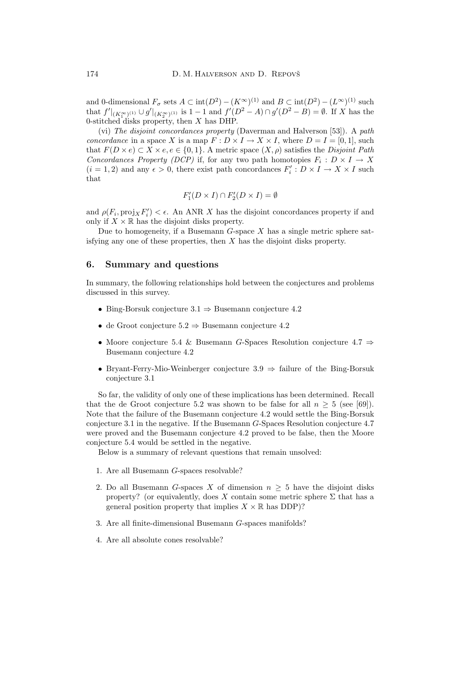and 0-dimensional  $F_{\sigma}$  sets  $A \subset \text{int}(D^2) - (K^{\infty})^{(1)}$  and  $B \subset \text{int}(D^2) - (L^{\infty})^{(1)}$  such that  $f' \mid (K^{\infty}_{1})^{(1)} \cup g' \mid (K^{\infty}_{2})^{(1)}$  is  $1 - 1$  and  $f'(D^{2} - A) \cap g'(D^{2} - B) = \emptyset$ . If X has the 0-stitched disks property, then  $X$  has DHP.

(vi) *The disjoint concordances property* (Daverman and Halverson [53]). A *path concordance* in a space X is a map  $F: D \times I \to X \times I$ , where  $D = I = [0, 1]$ , such that  $F(D \times e) \subset X \times e, e \in \{0, 1\}$ . A metric space  $(X, \rho)$  satisfies the *Disjoint Path Concordances Property (DCP)* if, for any two path homotopies  $F_i : D \times I \rightarrow X$  $(i = 1, 2)$  and any  $\epsilon > 0$ , there exist path concordances  $F'_i : D \times I \to X \times I$  such that

$$
F_1'(D \times I) \cap F_2'(D \times I) = \emptyset
$$

and  $\rho(F_i, \text{proj}_X F'_i) < \epsilon$ . An ANR X has the disjoint concordances property if and only if  $X \times \mathbb{R}$  has the disjoint disks property.

Due to homogeneity, if a Busemann  $G$ -space  $X$  has a single metric sphere satisfying any one of these properties, then  $X$  has the disjoint disks property.

#### **6. Summary and questions**

In summary, the following relationships hold between the conjectures and problems discussed in this survey.

- Bing-Borsuk conjecture  $3.1 \Rightarrow$  Busemann conjecture 4.2
- de Groot conjecture 5.2 ⇒ Busemann conjecture 4.2
- Moore conjecture 5.4 & Busemann G-Spaces Resolution conjecture 4.7 ⇒ Busemann conjecture 4.2
- Bryant-Ferry-Mio-Weinberger conjecture  $3.9 \Rightarrow$  failure of the Bing-Borsuk conjecture 3.1

So far, the validity of only one of these implications has been determined. Recall that the de Groot conjecture 5.2 was shown to be false for all  $n > 5$  (see [69]). Note that the failure of the Busemann conjecture 4.2 would settle the Bing-Borsuk conjecture 3.1 in the negative. If the Busemann G-Spaces Resolution conjecture 4.7 were proved and the Busemann conjecture 4.2 proved to be false, then the Moore conjecture 5.4 would be settled in the negative.

Below is a summary of relevant questions that remain unsolved:

- 1. Are all Busemann G-spaces resolvable?
- 2. Do all Busemann G-spaces X of dimension  $n > 5$  have the disjoint disks property? (or equivalently, does X contain some metric sphere  $\Sigma$  that has a general position property that implies  $X \times \mathbb{R}$  has DDP)?
- 3. Are all finite-dimensional Busemann G-spaces manifolds?
- 4. Are all absolute cones resolvable?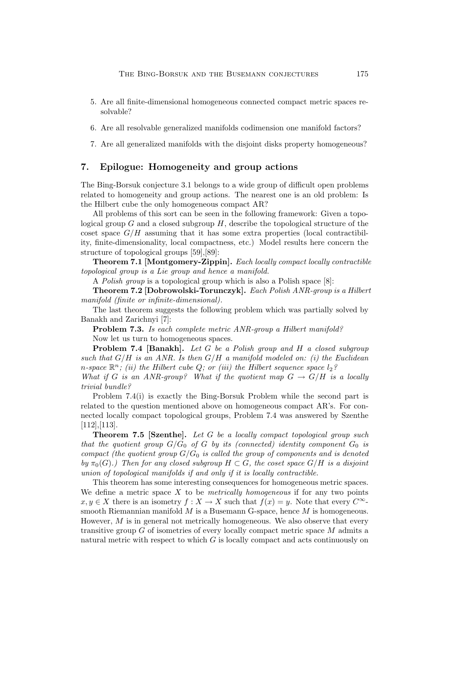- 5. Are all finite-dimensional homogeneous connected compact metric spaces resolvable?
- 6. Are all resolvable generalized manifolds codimension one manifold factors?
- 7. Are all generalized manifolds with the disjoint disks property homogeneous?

### **7. Epilogue: Homogeneity and group actions**

The Bing-Borsuk conjecture 3.1 belongs to a wide group of difficult open problems related to homogeneity and group actions. The nearest one is an old problem: Is the Hilbert cube the only homogeneous compact AR?

All problems of this sort can be seen in the following framework: Given a topological group  $G$  and a closed subgroup  $H$ , describe the topological structure of the coset space  $G/H$  assuming that it has some extra properties (local contractibility, finite-dimensionality, local compactness, etc.) Model results here concern the structure of topological groups [59],[89]:

**Theorem 7.1 [Montgomery-Zippin].** *Each locally compact locally contractible topological group is a Lie group and hence a manifold.*

A *Polish group* is a topological group which is also a Polish space [8]:

**Theorem 7.2 [Dobrowolski-Torunczyk].** *Each Polish ANR-group is a Hilbert manifold (finite or infinite-dimensional).*

The last theorem suggests the following problem which was partially solved by Banakh and Zarichnyi [7]:

**Problem 7.3.** *Is each complete metric ANR-group a Hilbert manifold?*

Now let us turn to homogeneous spaces.

**Problem 7.4 [Banakh].** *Let* G *be a Polish group and* H *a closed subgroup such that* G/H *is an ANR. Is then* G/H *a manifold modeled on: (i) the Euclidean* n-space  $\mathbb{R}^n$ ; (ii) the Hilbert cube Q; or (iii) the Hilbert sequence space  $l_2$ ?

*What if* G *is an ANR-group? What if the quotient map*  $G \rightarrow G/H$  *is a locally trivial bundle?*

Problem 7.4(i) is exactly the Bing-Borsuk Problem while the second part is related to the question mentioned above on homogeneous compact AR's. For connected locally compact topological groups, Problem 7.4 was answered by Szenthe [112],[113].

**Theorem 7.5 [Szenthe].** *Let* G *be a locally compact topological group such that the quotient group*  $G/G_0$  *of* G *by its (connected) identity component*  $G_0$  *is compact (the quotient group*  $G/G_0$  *is called the group of components and is denoted by*  $\pi_0(G)$ *.)* Then for any closed subgroup  $H \subset G$ , the coset space  $G/H$  is a disjoint *union of topological manifolds if and only if it is locally contractible.*

This theorem has some interesting consequences for homogeneous metric spaces. We define a metric space X to be *metrically homogeneous* if for any two points  $x, y \in X$  there is an isometry  $f: X \to X$  such that  $f(x) = y$ . Note that every  $C^{\infty}$ smooth Riemannian manifold  $M$  is a Busemann G-space, hence  $M$  is homogeneous. However,  $M$  is in general not metrically homogeneous. We also observe that every transitive group  $G$  of isometries of every locally compact metric space  $M$  admits a natural metric with respect to which  $G$  is locally compact and acts continuously on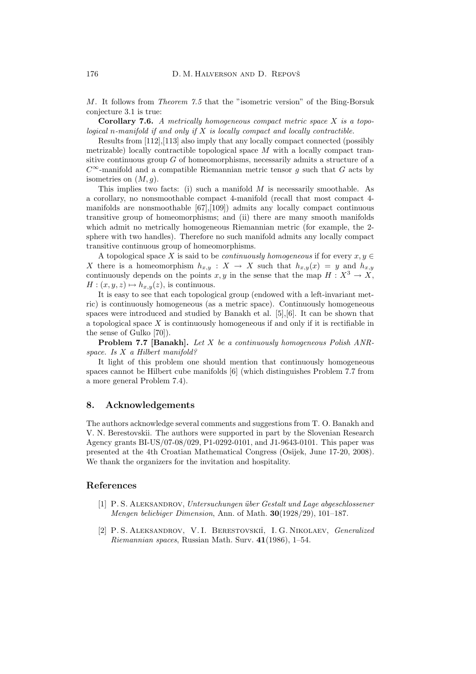M. It follows from *Theorem 7.5* that the "isometric version" of the Bing-Borsuk conjecture 3.1 is true:

**Corollary 7.6.** *A metrically homogeneous compact metric space* X *is a topological* n*-manifold if and only if* X *is locally compact and locally contractible.*

Results from [112],[113] also imply that any locally compact connected (possibly metrizable) locally contractible topological space M with a locally compact transitive continuous group  $G$  of homeomorphisms, necessarily admits a structure of a  $C^{\infty}$ -manifold and a compatible Riemannian metric tensor g such that G acts by isometries on  $(M, g)$ .

This implies two facts: (i) such a manifold  $M$  is necessarily smoothable. As a corollary, no nonsmoothable compact 4-manifold (recall that most compact 4 manifolds are nonsmoothable  $[67]$ , $[109]$  admits any locally compact continuous transitive group of homeomorphisms; and (ii) there are many smooth manifolds which admit no metrically homogeneous Riemannian metric (for example, the 2 sphere with two handles). Therefore no such manifold admits any locally compact transitive continuous group of homeomorphisms.

A topological space X is said to be *continuously homogeneous* if for every  $x, y \in$ X there is a homeomorphism  $h_{x,y}$ :  $X \to X$  such that  $h_{x,y}(x) = y$  and  $h_{x,y}$ continuously depends on the points  $x, y$  in the sense that the map  $H: X^3 \to X$ ,  $H: (x, y, z) \mapsto h_{x,y}(z)$ , is continuous.

It is easy to see that each topological group (endowed with a left-invariant metric) is continuously homogeneous (as a metric space). Continuously homogeneous spaces were introduced and studied by Banakh et al. [5],[6]. It can be shown that a topological space  $X$  is continuously homogeneous if and only if it is rectifiable in the sense of Gulko [70]).

**Problem 7.7 [Banakh].** *Let* X *be a continuously homogeneous Polish ANRspace. Is* X *a Hilbert manifold?*

It light of this problem one should mention that continuously homogeneous spaces cannot be Hilbert cube manifolds [6] (which distinguishes Problem 7.7 from a more general Problem 7.4).

### **8. Acknowledgements**

The authors acknowledge several comments and suggestions from T. O. Banakh and V. N. Berestovskii. The authors were supported in part by the Slovenian Research Agency grants BI-US/07-08/029, P1-0292-0101, and J1-9643-0101. This paper was presented at the 4th Croatian Mathematical Congress (Osijek, June 17-20, 2008). We thank the organizers for the invitation and hospitality.

### **References**

- [1] P. S. Aleksandrov, *Untersuchungen ¨uber Gestalt und Lage abgeschlossener Mengen beliebiger Dimension*, Ann. of Math. **30**(1928/29), 101–187.
- [2] P. S. Aleksandrov, V. I. Berestovskiˇi, I. G. Nikolaev, *Generalized Riemannian spaces*, Russian Math. Surv. **41**(1986), 1–54.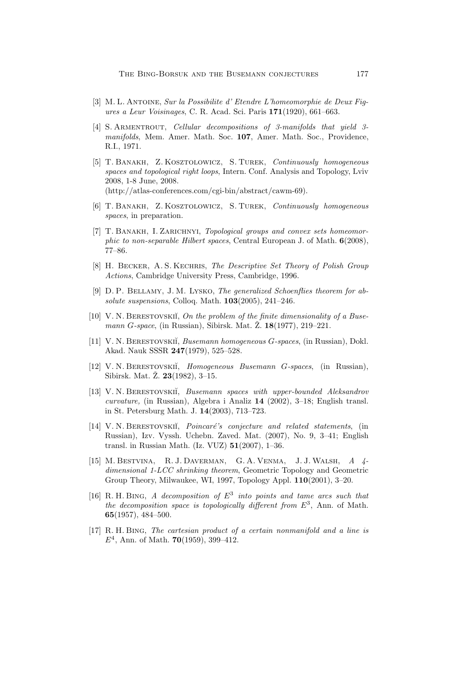- [3] M. L. Antoine, *Sur la Possibilite d' Etendre L'homeomorphie de Deux Figures a Leur Voisinages*, C. R. Acad. Sci. Paris **171**(1920), 661–663.
- [4] S. Armentrout, *Cellular decompositions of 3-manifolds that yield 3 manifolds*, Mem. Amer. Math. Soc. **107**, Amer. Math. Soc., Providence, R.I., 1971.
- [5] T. Banakh, Z. Kosztolowicz, S. Turek, *Continuously homogeneous spaces and topological right loops*, Intern. Conf. Analysis and Topology, Lviv 2008, 1-8 June, 2008. (http://atlas-conferences.com/cgi-bin/abstract/cawm-69).
- [6] T. Banakh, Z. Kosztolowicz, S. Turek, *Continuously homogeneous spaces*, in preparation.
- [7] T. Banakh, I. Zarichnyi, *Topological groups and convex sets homeomorphic to non-separable Hilbert spaces*, Central European J. of Math. **6**(2008), 77–86.
- [8] H. Becker, A. S. Kechris, *The Descriptive Set Theory of Polish Group Actions*, Cambridge University Press, Cambridge, 1996.
- [9] D. P. Bellamy, J. M. Lysko, *The generalized Schoenflies theorem for absolute suspensions*, Colloq. Math. **103**(2005), 241–246.
- [10] V.N. BERESTOVSKII, On the problem of the finite dimensionality of a Buse*mann G*-space, (in Russian), Sibirsk. Mat. Ž. 18(1977), 219–221.
- [11] V. N. Berestovski˘i, *Busemann homogeneous* G*-spaces*, (in Russian), Dokl. Akad. Nauk SSSR **247**(1979), 525–528.
- [12] V. N. Berestovski˘i, *Homogeneous Busemann* G*-spaces*, (in Russian), Sibirsk. Mat. Z. 23(1982), 3-15.
- [13] V. N. Berestovski˘i, *Busemann spaces with upper-bounded Aleksandrov curvature,* (in Russian), Algebra i Analiz **14** (2002), 3–18; English transl. in St. Petersburg Math. J. **14**(2003), 713–723.
- [14] V. N. BERESTOVSKII, *Poincaré's conjecture and related statements*, (in Russian), Izv. Vyssh. Uchebn. Zaved. Mat. (2007), No. 9, 3–41; English transl. in Russian Math. (Iz. VUZ) **51**(2007), 1–36.
- [15] M. Bestvina, R. J. Daverman, G. A. Venma, J. J. Walsh, *A 4 dimensional 1-LCC shrinking theorem*, Geometric Topology and Geometric Group Theory, Milwaukee, WI, 1997, Topology Appl. **110**(2001), 3–20.
- [16] R. H. Bing, *A decomposition of* E<sup>3</sup> *into points and tame arcs such that the decomposition space is topologically different from*  $E^3$ , Ann. of Math. **65**(1957), 484–500.
- [17] R. H. Bing, *The cartesian product of a certain nonmanifold and a line is* E<sup>4</sup>, Ann. of Math. **70**(1959), 399–412.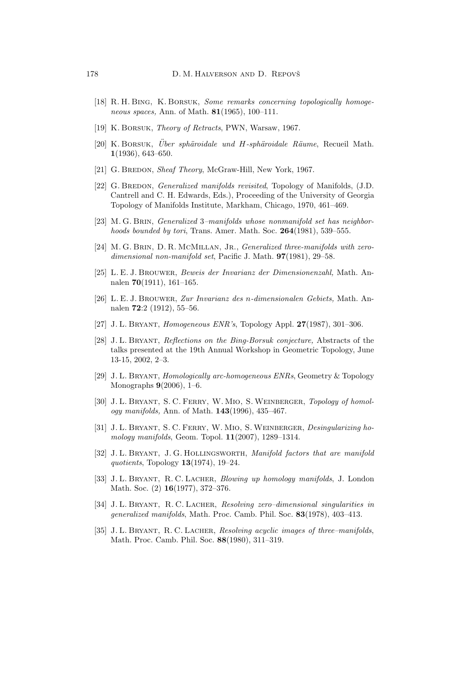- [18] R. H. Bing, K. Borsuk, *Some remarks concerning topologically homogeneous spaces,* Ann. of Math. **81**(1965), 100–111.
- [19] K. Borsuk, *Theory of Retracts*, PWN, Warsaw, 1967.
- [20] K. BORSUK, *Über sphäroidale und H-sphäroidale Räume*, Recueil Math. **1**(1936), 643–650.
- [21] G. BREDON, *Sheaf Theory*, McGraw-Hill, New York, 1967.
- [22] G. Bredon, *Generalized manifolds revisited*, Topology of Manifolds, (J.D. Cantrell and C. H. Edwards, Eds.), Proceeding of the University of Georgia Topology of Manifolds Institute, Markham, Chicago, 1970, 461–469.
- [23] M. G. Brin, *Generalized* 3*–manifolds whose nonmanifold set has neighborhoods bounded by tori*, Trans. Amer. Math. Soc. **264**(1981), 539–555.
- [24] M. G. Brin, D. R. McMillan, Jr., *Generalized three-manifolds with zerodimensional non-manifold set*, Pacific J. Math. **97**(1981), 29–58.
- [25] L. E. J. Brouwer, *Beweis der Invarianz der Dimensionenzahl,* Math. Annalen **70**(1911), 161–165.
- [26] L. E. J. Brouwer, *Zur Invarianz des* n*-dimensionalen Gebiets,* Math. Annalen **72**:2 (1912), 55–56.
- [27] J. L. Bryant, *Homogeneous ENR's*, Topology Appl. **27**(1987), 301–306.
- [28] J. L. Bryant, *Reflections on the Bing-Borsuk conjecture,* Abstracts of the talks presented at the 19th Annual Workshop in Geometric Topology, June 13-15, 2002, 2–3.
- [29] J. L. Bryant, *Homologically arc-homogeneous ENRs*, Geometry & Topology Monographs **9**(2006), 1–6.
- [30] J. L. Bryant, S. C. Ferry, W. Mio, S.Weinberger, *Topology of homology manifolds,* Ann. of Math. **143**(1996), 435–467.
- [31] J. L. Bryant, S. C. Ferry, W. Mio, S.Weinberger, *Desingularizing homology manifolds*, Geom. Topol. **11**(2007), 1289–1314.
- [32] J. L. Bryant, J. G. Hollingsworth, *Manifold factors that are manifold quotients*, Topology **13**(1974), 19–24.
- [33] J. L. Bryant, R. C. Lacher, *Blowing up homology manifolds*, J. London Math. Soc. (2) **16**(1977), 372–376.
- [34] J. L. Bryant, R. C. Lacher, *Resolving zero–dimensional singularities in generalized manifolds*, Math. Proc. Camb. Phil. Soc. **83**(1978), 403–413.
- [35] J. L. Bryant, R. C. Lacher, *Resolving acyclic images of three–manifolds*, Math. Proc. Camb. Phil. Soc. **88**(1980), 311–319.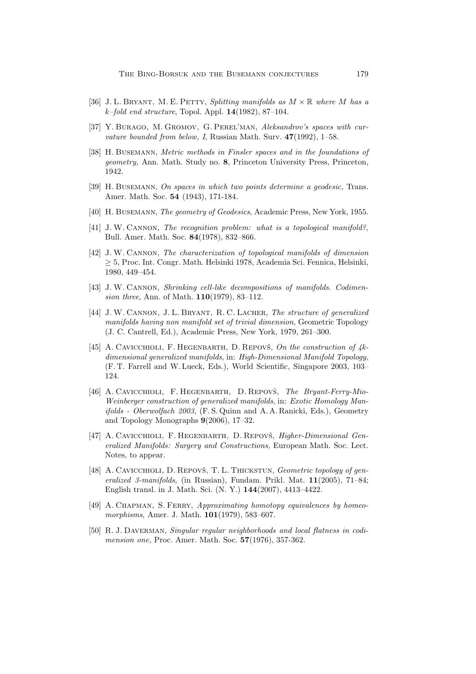- [36] J. L. Bryant, M. E. Petty, *Splitting manifolds as* M × R *where* M *has a* k*–fold end structure*, Topol. Appl. **14**(1982), 87–104.
- [37] Y. Burago, M. Gromov, G. Perel'man, *Aleksandrov's spaces with curvature bounded from below,I*, Russian Math. Surv. **47**(1992), 1–58.
- [38] H. Busemann, *Metric methods in Finsler spaces and in the foundations of geometry,* Ann. Math. Study no. **8**, Princeton University Press, Princeton, 1942.
- [39] H. Busemann, *On spaces in which two points determine a geodesic,* Trans. Amer. Math. Soc. **54** (1943), 171-184.
- [40] H. Busemann, *The geometry of Geodesics*, Academic Press, New York, 1955.
- [41] J. W. Cannon, *The recognition problem: what is a topological manifold?*, Bull. Amer. Math. Soc. **84**(1978), 832–866.
- [42] J. W. Cannon, *The characterization of topological manifolds of dimension* ≥ 5, Proc. Int. Congr. Math. Helsinki 1978, Academia Sci. Fennica, Helsinki, 1980, 449–454.
- [43] J. W. Cannon, *Shrinking cell-like decompositions of manifolds. Codimension three*, Ann. of Math. **110**(1979), 83–112.
- [44] J. W. Cannon, J. L. Bryant, R. C. Lacher, *The structure of generalized manifolds having non manifold set of trivial dimension*, Geometric Topology (J. C. Cantrell, Ed.), Academic Press, New York, 1979, 261–300.
- [45] A. CAVICCHIOLI, F. HEGENBARTH, D. REPOVŠ, On the construction of  $4k$ *dimensional generalized manifolds*, in: *High-Dimensional Manifold Topology*, (F. T. Farrell and W. Lueck, Eds.), World Scientific, Singapore 2003, 103– 124.
- [46] A. CAVICCHIOLI, F. HEGENBARTH, D. REPOVŠ, *The Bryant-Ferry-Mio-Weinberger construction of generalized manifolds*, in: *Exotic Homology Manifolds - Oberwolfach 2003*, (F. S. Quinn and A. A. Ranicki, Eds.), Geometry and Topology Monographs **9**(2006), 17–32.
- [47] A. CAVICCHIOLI, F. HEGENBARTH, D. REPOVŠ, *Higher-Dimensional Generalized Manifolds: Surgery and Constructions,* European Math. Soc. Lect. Notes, to appear.
- [48] A. CAVICCHIOLI, D. REPOVŠ, T. L. THICKSTUN, *Geometric topology of generalized 3-manifolds*, (in Russian), Fundam. Prikl. Mat. **11**(2005), 71–84; English transl. in J. Math. Sci. (N. Y.) **144**(2007), 4413–4422.
- [49] A. Chapman, S. Ferry, *Approximating homotopy equivalences by homeomorphisms*, Amer. J. Math. **101**(1979), 583–607.
- [50] R. J. DAVERMAN, *Singular regular neighborhoods and local flatness in codimension one,* Proc. Amer. Math. Soc. **57**(1976), 357-362.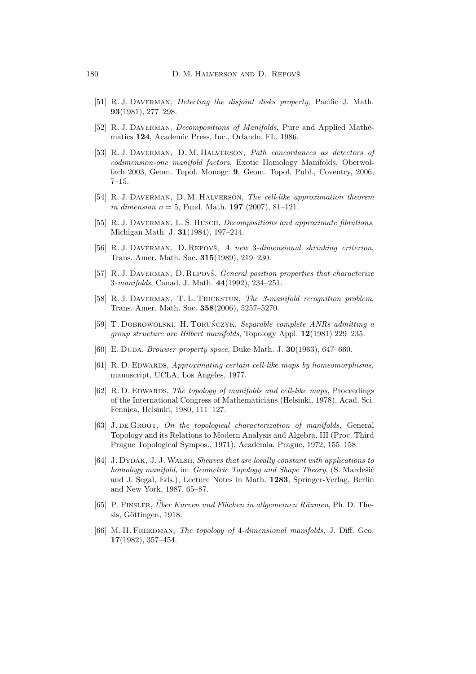- [51] R. J. Daverman, *Detecting the disjoint disks property,* Pacific J. Math. **93**(1981), 277–298.
- [52] R. J. Daverman, *Decompositions of Manifolds*, Pure and Applied Mathematics **124**, Academic Press, Inc., Orlando, FL, 1986.
- [53] R. J. Daverman, D. M. Halverson, *Path concordances as detectors of codimension-one manifold factors*, Exotic Homology Manifolds, Oberwolfach 2003, Geom. Topol. Monogr. **9**, Geom. Topol. Publ., Coventry, 2006, 7–15.
- [54] R. J. Daverman, D. M. Halverson, *The cell-like approximation theorem in dimension*  $n = 5$ , Fund. Math. **197** (2007), 81-121.
- [55] R. J. DAVERMAN, L. S. HUSCH, *Decompositions and approximate fibrations*, Michigan Math. J. **31**(1984), 197–214.
- [56] R. J. DAVERMAN, D. REPOVŠ, A new 3-dimensional shrinking criterion, Trans. Amer. Math. Soc. **315**(1989), 219–230.
- [57] R. J. DAVERMAN, D. REPOVŠ, *General position properties that characterize* 3*-manifolds*, Canad. J. Math. **44**(1992), 234–251.
- [58] R. J. Daverman, T. L. Thickstun, *The 3-manifold recognition problem*, Trans. Amer. Math. Soc. **358**(2006), 5257–5270.
- [59] T. DOBROWOLSKI, H. TORUŃCZYK, *Separable complete ANRs admitting a group structure are Hilbert manifolds*, Topology Appl. **12**(1981) 229–235.
- [60] E. Duda, *Brouwer property space*, Duke Math. J. **30**(1963), 647–660.
- [61] R. D. Edwards, *Approximating certain cell-like maps by homeomorphisms*, manuscript, UCLA, Los Angeles, 1977.
- [62] R. D. Edwards, *The topology of manifolds and cell-like maps*, Proceedings of the International Congress of Mathematicians (Helsinki, 1978), Acad. Sci. Fennica, Helsinki, 1980, 111–127.
- [63] J. de Groot, *On the topological characterization of manifolds,* General Topology and its Relations to Modern Analysis and Algebra, III (Proc. Third Prague Topological Sympos., 1971), Academia, Prague, 1972, 155–158.
- [64] J. Dydak, J. J.Walsh, *Sheaves that are locally constant with applications to homology manifold, in: Geometric Topology and Shape Theory, (S. Mardešić* and J. Segal, Eds.), Lecture Notes in Math. **1283**, Springer-Verlag, Berlin and New York, 1987, 65–87.
- [65] P. FINSLER, *Über Kurven und Flächen in allgemeinen Räumen*, Ph. D. Thesis, Göttingen, 1918.
- [66] M. H. Freedman, *The topology of* 4*-dimensional manifolds,* J. Diff. Geo. **17**(1982), 357–454.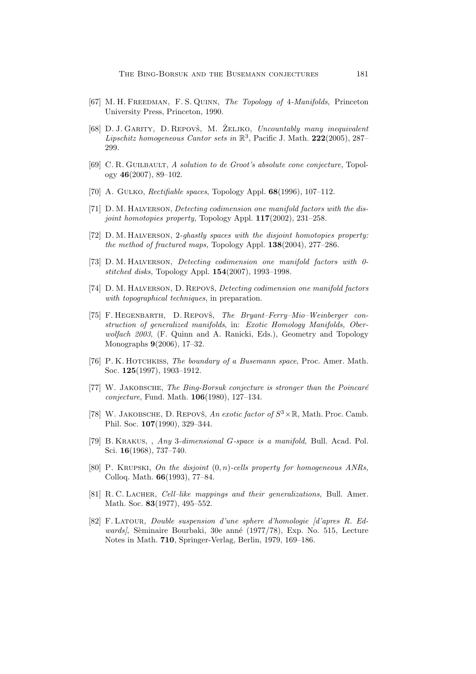- [67] M. H. Freedman, F. S. Quinn, *The Topology of* 4*-Manifolds,* Princeton University Press, Princeton, 1990.
- [68] D. J. GARITY, D. REPOVŠ, M. ŽELJKO, *Uncountably many inequivalent Lipschitz homogeneous Cantor sets in* R3, Pacific J. Math. **222**(2005), 287– 299.
- [69] C. R. Guilbault, *A solution to de Groot's absolute cone conjecture,* Topology **46**(2007), 89–102.
- [70] A. Gulko, *Rectifiable spaces*, Topology Appl. **68**(1996), 107–112.
- [71] D. M. Halverson, *Detecting codimension one manifold factors with the disjoint homotopies property,* Topology Appl. **117**(2002), 231–258.
- [72] D. M. Halverson, 2*-ghastly spaces with the disjoint homotopies property: the method of fractured maps,* Topology Appl. **138**(2004), 277–286.
- [73] D. M. Halverson, *Detecting codimension one manifold factors with 0 stitched disks,* Topology Appl. **154**(2007), 1993–1998.
- [74] D. M. HALVERSON, D. REPOVŠ, *Detecting codimension one manifold factors with topographical techniques*, in preparation.
- [75] F. HEGENBARTH, D. REPOVŠ, *The Bryant–Ferry–Mio–Weinberger construction of generalized manifolds, in: Exotic Homology Manifolds, Oberwolfach 2003*, (F. Quinn and A. Ranicki, Eds.), Geometry and Topology Monographs **9**(2006), 17–32.
- [76] P. K. Hotchkiss, *The boundary of a Busemann space*, Proc. Amer. Math. Soc. **125**(1997), 1903–1912.
- [77] W. JAKOBSCHE, *The Bing-Borsuk conjecture is stronger than the Poincaré conjecture*, Fund. Math. **106**(1980), 127–134.
- [78] W. JAKOBSCHE, D. REPOVŠ, *An exotic factor of*  $S^3 \times \mathbb{R}$ , Math. Proc. Camb. Phil. Soc. **107**(1990), 329–344.
- [79] B. Krakus, , *Any* 3*-dimensional* G*-space is a manifold,* Bull. Acad. Pol. Sci. **16**(1968), 737–740.
- [80] P. Krupski, *On the disjoint* (0, n)*-cells property for homogeneous ANRs,* Colloq. Math. **66**(1993), 77–84.
- [81] R. C. Lacher, *Cell–like mappings and their generalizations,* Bull. Amer. Math. Soc. **83**(1977), 495–552.
- [82] F. Latour, *Double suspension d'une sphere d'homologie [d'apres R. Edwards*, Sèminaire Bourbaki, 30e anné (1977/78), Exp. No. 515, Lecture Notes in Math. **710**, Springer-Verlag, Berlin, 1979, 169–186.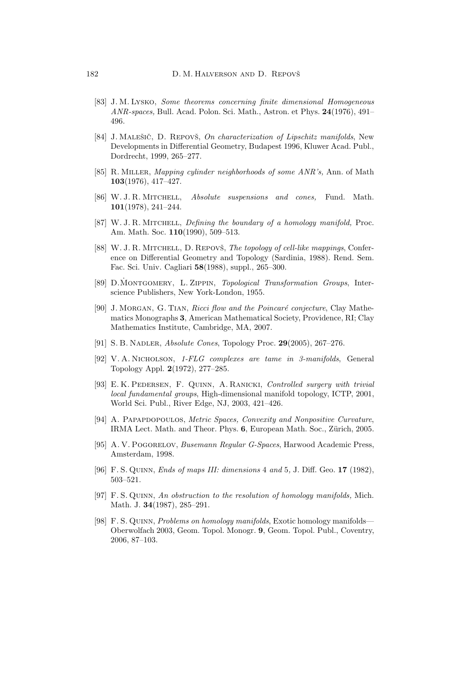- [83] J. M. Lysko, *Some theorems concerning finite dimensional Homogeneous ANR-spaces,* Bull. Acad. Polon. Sci. Math., Astron. et Phys. **24**(1976), 491– 496.
- [84] J. MALEŠIČ, D. REPOVŠ, *On characterization of Lipschitz manifolds*, New Developments in Differential Geometry, Budapest 1996, Kluwer Acad. Publ., Dordrecht, 1999, 265–277.
- [85] R. Miller, *Mapping cylinder neighborhoods of some ANR's,* Ann. of Math **103**(1976), 417–427.
- [86] W. J. R. Mitchell, *Absolute suspensions and cones,* Fund. Math. **101**(1978), 241–244.
- [87] W. J. R. Mitchell, *Defining the boundary of a homology manifold,* Proc. Am. Math. Soc. **110**(1990), 509–513.
- [88] W. J. R. MITCHELL, D. REPOVŠ, *The topology of cell-like mappings*, Conference on Differential Geometry and Topology (Sardinia, 1988). Rend. Sem. Fac. Sci. Univ. Cagliari **58**(1988), suppl., 265–300.
- [89] D.MONTGOMERY, L. ZIPPIN, *Topological Transformation Groups*, Interscience Publishers, New York-London, 1955.
- [90] J. MORGAN, G. TIAN, *Ricci flow and the Poincaré conjecture*, Clay Mathematics Monographs **3**, American Mathematical Society, Providence, RI; Clay Mathematics Institute, Cambridge, MA, 2007.
- [91] S. B. Nadler, *Absolute Cones*, Topology Proc. **29**(2005), 267–276.
- [92] V. A. Nicholson, *1-FLG complexes are tame in 3-manifolds*, General Topology Appl. **2**(1972), 277–285.
- [93] E. K. Pedersen, F. Quinn, A. Ranicki, *Controlled surgery with trivial local fundamental groups*, High-dimensional manifold topology, ICTP, 2001, World Sci. Publ., River Edge, NJ, 2003, 421–426.
- [94] A. Papapdopoulos, *Metric Spaces,Convexity and Nonpositive Curvature*, IRMA Lect. Math. and Theor. Phys. **6**, European Math. Soc., Zürich, 2005.
- [95] A. V. Pogorelov, *Busemann Regular G-Spaces*, Harwood Academic Press, Amsterdam, 1998.
- [96] F. S. Quinn, *Ends of maps III: dimensions* 4 *and* 5*,* J. Diff. Geo. **17** (1982), 503–521.
- [97] F. S. Quinn, *An obstruction to the resolution of homology manifolds,* Mich. Math. J. **34**(1987), 285–291.
- [98] F. S. Quinn, *Problems on homology manifolds*, Exotic homology manifolds— Oberwolfach 2003, Geom. Topol. Monogr. **9**, Geom. Topol. Publ., Coventry, 2006, 87–103.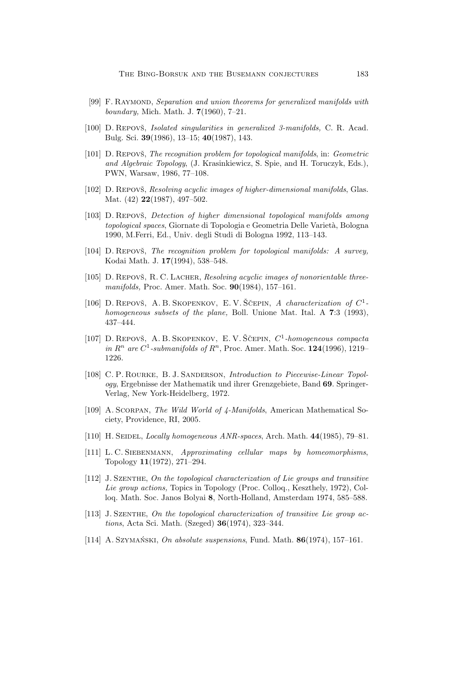- [99] F. Raymond, *Separation and union theorems for generalized manifolds with boundary,* Mich. Math. J. **7**(1960), 7–21.
- [100] D. Repovš, *Isolated singularities in generalized 3-manifolds*, C. R. Acad. Bulg. Sci. **39**(1986), 13–15; **40**(1987), 143.
- [101] D. REPOVŠ, *The recognition problem for topological manifolds*, in: *Geometric and Algebraic Topology*, (J. Krasinkiewicz, S. Spie, and H. Toruczyk, Eds.), PWN, Warsaw, 1986, 77–108.
- [102] D. Repovš, *Resolving acyclic images of higher-dimensional manifolds*, Glas. Mat. (42) **22**(1987), 497–502.
- [103] D. Repovš, *Detection of higher dimensional topological manifolds among topological spaces*, Giornate di Topologia e Geometria Delle Varietà, Bologna 1990, M.Ferri, Ed., Univ. degli Studi di Bologna 1992, 113–143.
- [104] D. REPOVS, *The recognition problem for topological manifolds: A survey,* Kodai Math. J. **17**(1994), 538–548.
- [105] D. REPOVŠ, R. C. LACHER, *Resolving acyclic images of nonorientable threemanifolds,* Proc. Amer. Math. Soc. **90**(1984), 157–161.
- [106] D. REPOVŠ, A. B. SKOPENKOV, E. V. ŠČEPIN, A characterization of  $C^1$ *homogeneous subsets of the plane,* Boll. Unione Mat. Ital. A **7**:3 (1993), 437–444.
- [107] D. REPOVŠ, A. B. SKOPENKOV, E. V. ŠČEPIN,  $C^1$ -homogeneous compacta *in*  $R^n$  *are*  $C^1$ -submanifolds of  $R^n$ , Proc. Amer. Math. Soc. **124**(1996), 1219– 1226.
- [108] C. P. ROURKE, B. J. SANDERSON, *Introduction to Piecewise-Linear Topology*, Ergebnisse der Mathematik und ihrer Grenzgebiete, Band **69**. Springer-Verlag, New York-Heidelberg, 1972.
- [109] A. Scorpan, *The Wild World of 4-Manifolds*, American Mathematical Society, Providence, RI, 2005.
- [110] H. Seidel, *Locally homogeneous ANR-spaces*, Arch. Math. **44**(1985), 79–81.
- [111] L. C. Siebenmann, *Approximating cellular maps by homeomorphisms*, Topology **11**(1972), 271–294.
- [112] J. Szenthe, *On the topological characterization of Lie groups and transitive Lie group actions,* Topics in Topology (Proc. Colloq., Keszthely, 1972), Colloq. Math. Soc. Janos Bolyai **8**, North-Holland, Amsterdam 1974, 585–588.
- [113] J. Szenthe, *On the topological characterization of transitive Lie group actions*, Acta Sci. Math. (Szeged) **36**(1974), 323–344.
- [114] A. Szymański, *On absolute suspensions*, Fund. Math. **86**(1974), 157–161.